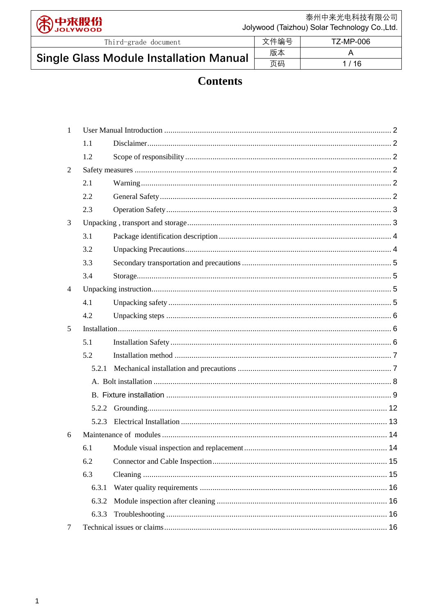泰州中来光电科技有限公司 中来股份<br>Jolywood Jolywood (Taizhou) Solar Technology Co.,Ltd. 文件编号 **TZ-MP-006** Third-grade document 版本  $\overline{\mathsf{A}}$ **Single Glass Module Installation Manual** 页码

# **Contents**

 $1/16$ 

| 1              |       |  |
|----------------|-------|--|
|                | 1.1   |  |
|                | 1.2   |  |
| 2              |       |  |
|                | 2.1   |  |
|                | 2.2   |  |
|                | 2.3   |  |
| 3              |       |  |
|                | 3.1   |  |
|                | 3.2   |  |
|                | 3.3   |  |
|                | 3.4   |  |
| $\overline{4}$ |       |  |
|                | 4.1   |  |
|                | 4.2   |  |
| 5              |       |  |
|                | 5.1   |  |
|                | 5.2   |  |
|                | 5.2.1 |  |
|                |       |  |
|                |       |  |
|                |       |  |
|                | 5.2.3 |  |
| 6              |       |  |
|                | 6.1   |  |
|                | 6.2   |  |
|                | 6.3   |  |
|                | 6.3.1 |  |
|                | 6.3.2 |  |
|                | 6.3.3 |  |
| 7              |       |  |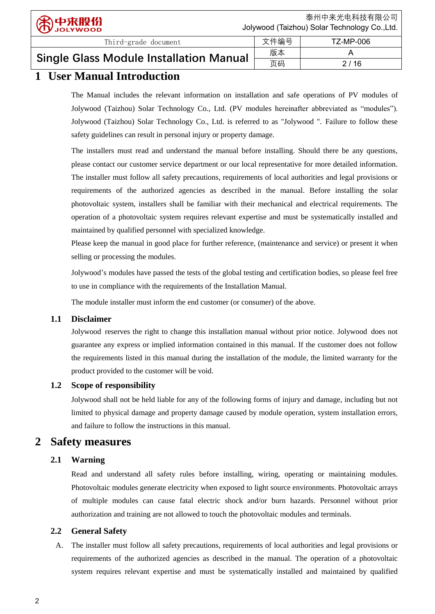| Third-grade document                           | 文件编号 | TZ-MP-006 |
|------------------------------------------------|------|-----------|
| <b>Single Glass Module Installation Manual</b> | 版本   |           |
|                                                | 页码   | 2 / 16    |

# **1 User Manual Introduction**

The Manual includes the relevant information on installation and safe operations of PV modules of Jolywood (Taizhou) Solar Technology Co., Ltd. (PV modules hereinafter abbreviated as "modules"). Jolywood (Taizhou) Solar Technology Co., Ltd. is referred to as "Jolywood ". Failure to follow these safety guidelines can result in personal injury or property damage.

The installers must read and understand the manual before installing. Should there be any questions, please contact our customer service department or our local representative for more detailed information. The installer must follow all safety precautions, requirements of local authorities and legal provisions or requirements of the authorized agencies as described in the manual. Before installing the solar photovoltaic system, installers shall be familiar with their mechanical and electrical requirements. The operation of a photovoltaic system requires relevant expertise and must be systematically installed and maintained by qualified personnel with specialized knowledge.

Please keep the manual in good place for further reference, (maintenance and service) or present it when selling or processing the modules.

Jolywood's modules have passed the tests of the global testing and certification bodies, so please feel free to use in compliance with the requirements of the Installation Manual.

The module installer must inform the end customer (or consumer) of the above.

# <span id="page-1-0"></span>**1.1 Disclaimer**

Jolywood reserves the right to change this installation manual without prior notice. Jolywood does not guarantee any express or implied information contained in this manual. If the customer does not follow the requirements listed in this manual during the installation of the module, the limited warranty for the product provided to the customer will be void.

# <span id="page-1-1"></span>**1.2 Scope of responsibility**

Jolywood shall not be held liable for any of the following forms of injury and damage, including but not limited to physical damage and property damage caused by module operation, system installation errors, and failure to follow the instructions in this manual.

# <span id="page-1-2"></span>**2 Safety measures**

# <span id="page-1-3"></span>**2.1 Warning**

Read and understand all safety rules before installing, wiring, operating or maintaining modules. Photovoltaic modules generate electricity when exposed to light source environments. Photovoltaic arrays of multiple modules can cause fatal electric shock and/or burn hazards. Personnel without prior authorization and training are not allowed to touch the photovoltaic modules and terminals.

## <span id="page-1-4"></span>**2.2 General Safety**

A. The installer must follow all safety precautions, requirements of local authorities and legal provisions or requirements of the authorized agencies as described in the manual. The operation of a photovoltaic system requires relevant expertise and must be systematically installed and maintained by qualified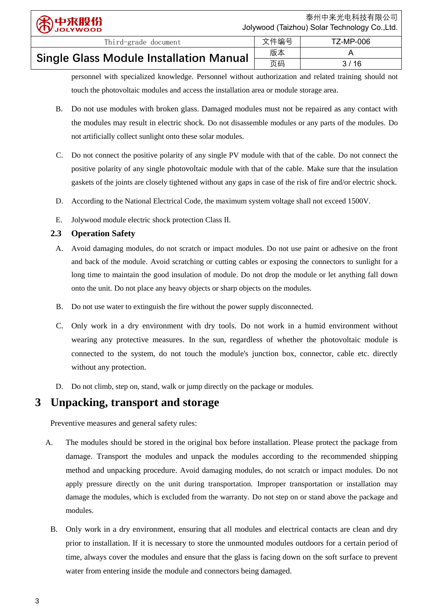| $\frac{1}{2}$                                  | ----- |        |
|------------------------------------------------|-------|--------|
|                                                | 版本    |        |
| <b>Single Glass Module Installation Manual</b> | 页码    | 3 / 16 |

personnel with specialized knowledge. Personnel without authorization and related training should not touch the photovoltaic modules and access the installation area or module storage area.

- B. Do not use modules with broken glass. Damaged modules must not be repaired as any contact with the modules may result in electric shock. Do not disassemble modules or any parts of the modules. Do not artificially collect sunlight onto these solar modules.
- C. Do not connect the positive polarity of any single PV module with that of the cable. Do not connect the positive polarity of any single photovoltaic module with that of the cable. Make sure that the insulation gaskets of the joints are closely tightened without any gaps in case of the risk of fire and/or electric shock.
- D. According to the National Electrical Code, the maximum system voltage shall not exceed 1500V.
- E. Jolywood module electric shock protection Class Ⅱ.

## <span id="page-2-0"></span>**2.3 Operation Safety**

- A. Avoid damaging modules, do not scratch or impact modules. Do not use paint or adhesive on the front and back of the module. Avoid scratching or cutting cables or exposing the connectors to sunlight for a long time to maintain the good insulation of module. Do not drop the module or let anything fall down onto the unit. Do not place any heavy objects or sharp objects on the modules.
- B. Do not use water to extinguish the fire without the power supply disconnected.
- C. Only work in a dry environment with dry tools. Do not work in a humid environment without wearing any protective measures. In the sun, regardless of whether the photovoltaic module is connected to the system, do not touch the module's junction box, connector, cable etc. directly without any protection.
- D. Do not climb, step on, stand, walk or jump directly on the package or modules.

# <span id="page-2-1"></span>**3 Unpacking, transport and storage**

Preventive measures and general safety rules:

- A. The modules should be stored in the original box before installation. Please protect the package from damage. Transport the modules and unpack the modules according to the recommended shipping method and unpacking procedure. Avoid damaging modules, do not scratch or impact modules. Do not apply pressure directly on the unit during transportation. Improper transportation or installation may damage the modules, which is excluded from the warranty. Do not step on or stand above the package and modules.
	- B. Only work in a dry environment, ensuring that all modules and electrical contacts are clean and dry prior to installation. If it is necessary to store the unmounted modules outdoors for a certain period of time, always cover the modules and ensure that the glass is facing down on the soft surface to prevent water from entering inside the module and connectors being damaged.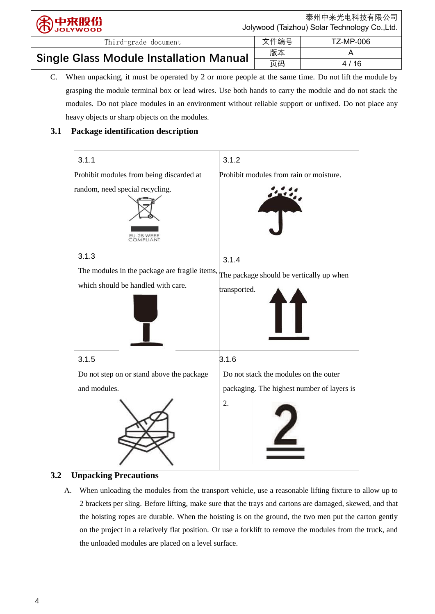| 第中来股份                                          | 泰州中来光电科技有限公司<br>Jolywood (Taizhou) Solar Technology Co., Ltd. |           |
|------------------------------------------------|---------------------------------------------------------------|-----------|
| Third-grade document                           | 文件编号                                                          | TZ-MP-006 |
| <b>Single Glass Module Installation Manual</b> | 版本                                                            |           |
|                                                | 页码                                                            | 4 / 16    |

C. When unpacking, it must be operated by 2 or more people at the same time. Do not lift the module by grasping the module terminal box or lead wires. Use both hands to carry the module and do not stack the modules. Do not place modules in an environment without reliable support or unfixed. Do not place any heavy objects or sharp objects on the modules.

页码 4 / 16

# <span id="page-3-0"></span>**3.1 Package identification description**



# <span id="page-3-1"></span>**3.2 Unpacking Precautions**

A. When unloading the modules from the transport vehicle, use a reasonable lifting fixture to allow up to 2 brackets per sling. Before lifting, make sure that the trays and cartons are damaged, skewed, and that the hoisting ropes are durable. When the hoisting is on the ground, the two men put the carton gently on the project in a relatively flat position. Or use a forklift to remove the modules from the truck, and the unloaded modules are placed on a level surface.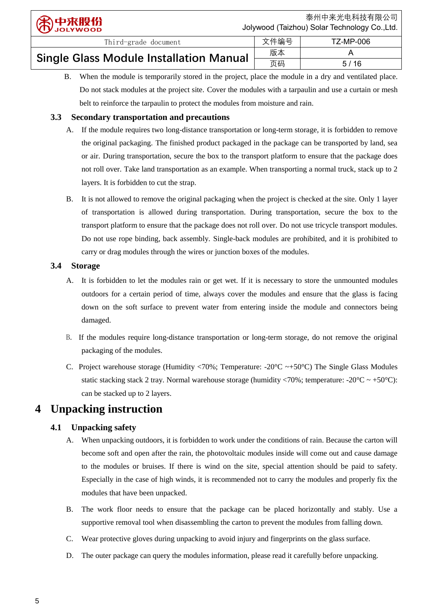Single Glass Module Installation Manual  $\frac{K\pi}{\sqrt{\pi}}$  A

B. When the module is temporarily stored in the project, place the module in a dry and ventilated place. Do not stack modules at the project site. Cover the modules with a tarpaulin and use a curtain or mesh belt to reinforce the tarpaulin to protect the modules from moisture and rain.

页码 5 / 16

# <span id="page-4-0"></span>**3.3 Secondary transportation and precautions**

- A. If the module requires two long-distance transportation or long-term storage, it is forbidden to remove the original packaging. The finished product packaged in the package can be transported by land, sea or air. During transportation, secure the box to the transport platform to ensure that the package does not roll over. Take land transportation as an example. When transporting a normal truck, stack up to 2 layers. It is forbidden to cut the strap.
- B. It is not allowed to remove the original packaging when the project is checked at the site. Only 1 layer of transportation is allowed during transportation. During transportation, secure the box to the transport platform to ensure that the package does not roll over. Do not use tricycle transport modules. Do not use rope binding, back assembly. Single-back modules are prohibited, and it is prohibited to carry or drag modules through the wires or junction boxes of the modules.

# <span id="page-4-1"></span>**3.4 Storage**

- A. It is forbidden to let the modules rain or get wet. If it is necessary to store the unmounted modules outdoors for a certain period of time, always cover the modules and ensure that the glass is facing down on the soft surface to prevent water from entering inside the module and connectors being damaged.
- B. If the modules require long-distance transportation or long-term storage, do not remove the original packaging of the modules.
- C. Project warehouse storage (Humidity <70%; Temperature: -20  $\mathbb{C} \rightarrow +50 \mathbb{C}$ ) The Single Glass Modules static stacking stack 2 tray. Normal warehouse storage (humidity <70%; temperature: -20 $\mathbb{C} \sim +50 \mathbb{C}$ ): can be stacked up to 2 layers.

# <span id="page-4-2"></span>**4 Unpacking instruction**

# <span id="page-4-3"></span>**4.1 Unpacking safety**

- A. When unpacking outdoors, it is forbidden to work under the conditions of rain. Because the carton will become soft and open after the rain, the photovoltaic modules inside will come out and cause damage to the modules or bruises. If there is wind on the site, special attention should be paid to safety. Especially in the case of high winds, it is recommended not to carry the modules and properly fix the modules that have been unpacked.
- B. The work floor needs to ensure that the package can be placed horizontally and stably. Use a supportive removal tool when disassembling the carton to prevent the modules from falling down.
- C. Wear protective gloves during unpacking to avoid injury and fingerprints on the glass surface.
- D. The outer package can query the modules information, please read it carefully before unpacking.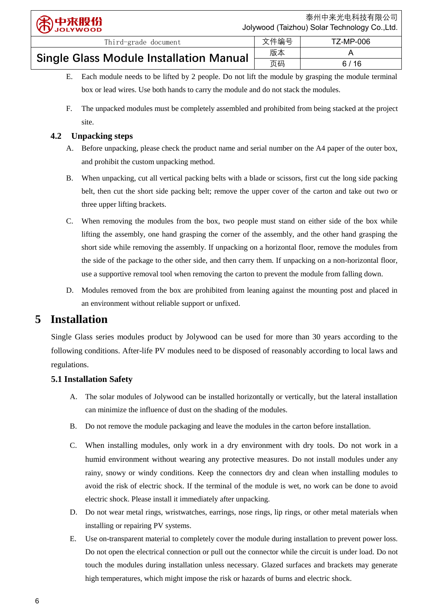| Third-grade document                           | 文件编号 | TZ-MP-006 |
|------------------------------------------------|------|-----------|
|                                                | 版本   |           |
| <b>Single Glass Module Installation Manual</b> | 页码   | 6/16      |

- E. Each module needs to be lifted by 2 people. Do not lift the module by grasping the module terminal box or lead wires. Use both hands to carry the module and do not stack the modules.
- F. The unpacked modules must be completely assembled and prohibited from being stacked at the project site.

## <span id="page-5-0"></span>**4.2 Unpacking steps**

- A. Before unpacking, please check the product name and serial number on the A4 paper of the outer box, and prohibit the custom unpacking method.
- B. When unpacking, cut all vertical packing belts with a blade or scissors, first cut the long side packing belt, then cut the short side packing belt; remove the upper cover of the carton and take out two or three upper lifting brackets.
- C. When removing the modules from the box, two people must stand on either side of the box while lifting the assembly, one hand grasping the corner of the assembly, and the other hand grasping the short side while removing the assembly. If unpacking on a horizontal floor, remove the modules from the side of the package to the other side, and then carry them. If unpacking on a non-horizontal floor, use a supportive removal tool when removing the carton to prevent the module from falling down.
- D. Modules removed from the box are prohibited from leaning against the mounting post and placed in an environment without reliable support or unfixed.

# <span id="page-5-1"></span>**5 Installation**

Single Glass series modules product by Jolywood can be used for more than 30 years according to the following conditions. After-life PV modules need to be disposed of reasonably according to local laws and regulations.

# **5.1 Installation Safety**

- <span id="page-5-2"></span>A. The solar modules of Jolywood can be installed horizontally or vertically, but the lateral installation can minimize the influence of dust on the shading of the modules.
- B. Do not remove the module packaging and leave the modules in the carton before installation.
- C. When installing modules, only work in a dry environment with dry tools. Do not work in a humid environment without wearing any protective measures. Do not install modules under any rainy, snowy or windy conditions. Keep the connectors dry and clean when installing modules to avoid the risk of electric shock. If the terminal of the module is wet, no work can be done to avoid electric shock. Please install it immediately after unpacking.
- D. Do not wear metal rings, wristwatches, earrings, nose rings, lip rings, or other metal materials when installing or repairing PV systems.
- E. Use on-transparent material to completely cover the module during installation to prevent power loss. Do not open the electrical connection or pull out the connector while the circuit is under load. Do not touch the modules during installation unless necessary. Glazed surfaces and brackets may generate high temperatures, which might impose the risk or hazards of burns and electric shock.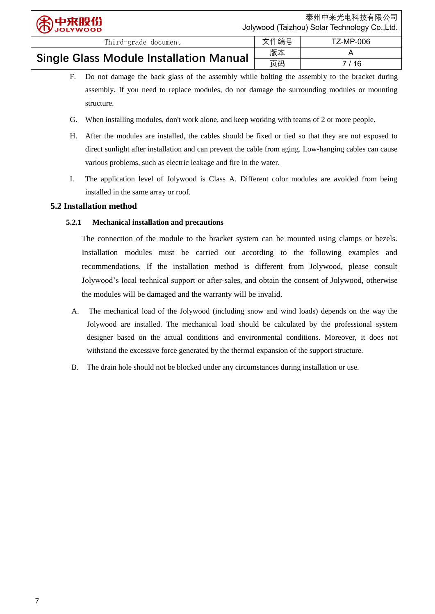页码 7 / 16

| Single Glass Module Installation Manual | 而和 |  |
|-----------------------------------------|----|--|

F. Do not damage the back glass of the assembly while bolting the assembly to the bracket during assembly. If you need to replace modules, do not damage the surrounding modules or mounting structure.

Third-grade document  $\parallel$  文件编号 | TZ-MP-006

- G. When installing modules, don't work alone, and keep working with teams of 2 or more people.
- H. After the modules are installed, the cables should be fixed or tied so that they are not exposed to direct sunlight after installation and can prevent the cable from aging. Low-hanging cables can cause various problems, such as electric leakage and fire in the water.
- I. The application level of Jolywood is Class A. Different color modules are avoided from being installed in the same array or roof.

### <span id="page-6-1"></span><span id="page-6-0"></span>**5.2 Installation method**

### **5.2.1 Mechanical installation and precautions**

The connection of the module to the bracket system can be mounted using clamps or bezels. Installation modules must be carried out according to the following examples and recommendations. If the installation method is different from Jolywood, please consult Jolywood's local technical support or after-sales, and obtain the consent of Jolywood, otherwise the modules will be damaged and the warranty will be invalid.

- A. The mechanical load of the Jolywood (including snow and wind loads) depends on the way the Jolywood are installed. The mechanical load should be calculated by the professional system designer based on the actual conditions and environmental conditions. Moreover, it does not withstand the excessive force generated by the thermal expansion of the support structure.
- <span id="page-6-2"></span>B. The drain hole should not be blocked under any circumstances during installation or use.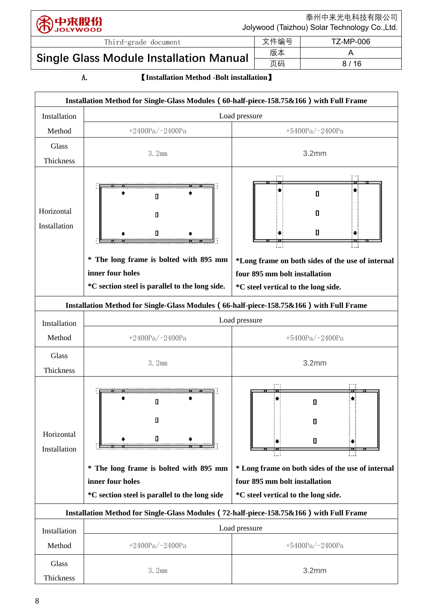泰州中来光电科技有限公司 Jolywood (Taizhou) Solar Technology Co.,Ltd.

页码 8 / 16

# Third-grade document  $\hat{\mathbf{X}}$  | 文件编号 | TZ-MP-006 Single Glass Module Installation Manual  $\left\lfloor \frac{\frac{1}{100} \pi}{\frac{1}{100}} \right\rfloor$  and the Manual  $\left\lfloor \frac{1}{100} \frac{1}{\frac{1}{100}} \right\rfloor$  and the Manual  $\left\lfloor \frac{1}{100} \frac{1}{\frac{1}{100}} \right\rfloor$  and the Manual  $\left\lfloor \frac{1}{100} \frac{1}{\frac{1}{100$

### A.【**Installation Method -Bolt installation**】

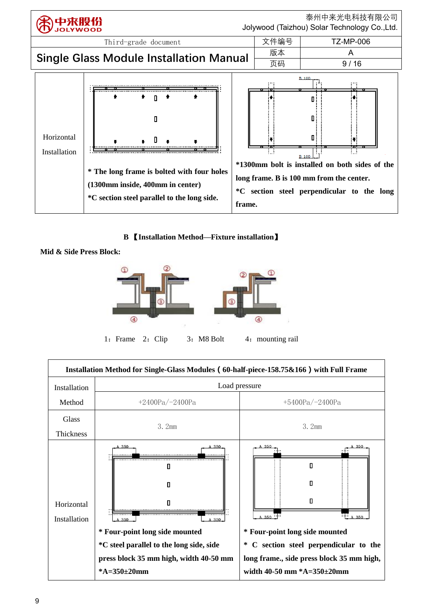

**B** 【**Installation Method—Fixture installation**】

**Mid & Side Press Block:**



1: Frame 2: Clip 3: M8 Bolt 4: mounting rail

| Installation Method for Single-Glass Modules (60-half-piece-158.75&166) with Full Frame |                                                                                                                                                                                         |                                                                                                                                                                                                                       |  |  |  |
|-----------------------------------------------------------------------------------------|-----------------------------------------------------------------------------------------------------------------------------------------------------------------------------------------|-----------------------------------------------------------------------------------------------------------------------------------------------------------------------------------------------------------------------|--|--|--|
| Load pressure<br>Installation                                                           |                                                                                                                                                                                         |                                                                                                                                                                                                                       |  |  |  |
| Method                                                                                  | $+2400Pa/-2400Pa$                                                                                                                                                                       | $+5400Pa/-2400Pa$                                                                                                                                                                                                     |  |  |  |
| Glass<br>3.2mm<br>Thickness                                                             |                                                                                                                                                                                         | 3. 2mm                                                                                                                                                                                                                |  |  |  |
| Horizontal<br>Installation                                                              | A 350<br>A 350.<br>п<br>п<br>A 350<br>A 350.<br>* Four-point long side mounted<br>*C steel parallel to the long side, side<br>press block 35 mm high, width 40-50 mm<br>* $A=350±20$ mm | A 350<br>A 350<br>П<br>п<br>п<br>$F_{A350}$<br>A 350 : T<br>* Four-point long side mounted<br>C section steel perpendicular to the<br>∗<br>long frame., side press block 35 mm high,<br>width 40-50 mm $*A=350+20$ mm |  |  |  |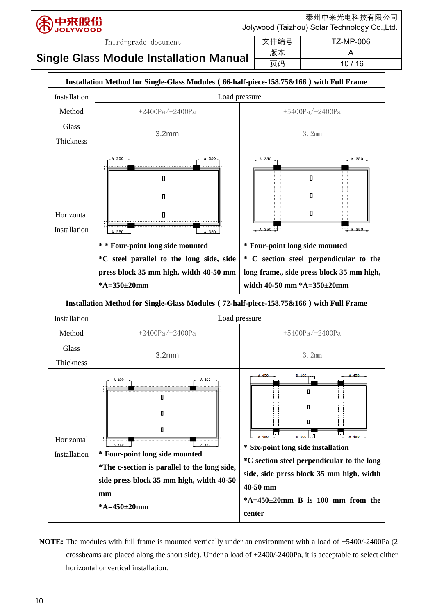

泰州中来光电科技有限公司 Jolywood (Taizhou) Solar Technology Co.,Ltd.

# Single Glass Module Installation Manual  $\left|\frac{\kappa\pi}{\sqrt{\kappa}}\right|$  10/

Third-grade document  $\hat{\mathbf{X}}$  | 文件编号 | TZ-MP-006



**NOTE:** The modules with full frame is mounted vertically under an environment with a load of +5400/-2400Pa (2 crossbeams are placed along the short side). Under a load of  $+2400/-2400P$ a, it is acceptable to select either horizontal or vertical installation.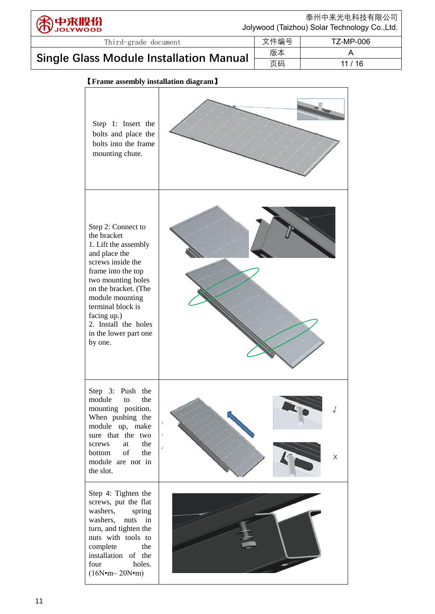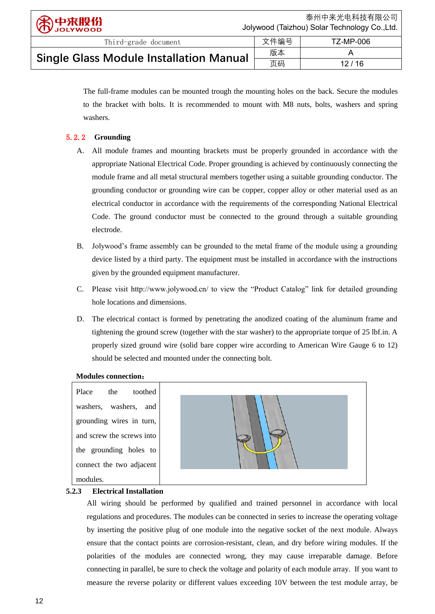The full-frame modules can be mounted trough the mounting holes on the back. Secure the modules to the bracket with bolts. It is recommended to mount with M8 nuts, bolts, washers and spring washers.

### <span id="page-11-0"></span>5.2.2 **Grounding**

- A. All module frames and mounting brackets must be properly grounded in accordance with the appropriate National Electrical Code. Proper grounding is achieved by continuously connecting the module frame and all metal structural members together using a suitable grounding conductor. The grounding conductor or grounding wire can be copper, copper alloy or other material used as an electrical conductor in accordance with the requirements of the corresponding National Electrical Code. The ground conductor must be connected to the ground through a suitable grounding electrode.
- B. Jolywood's frame assembly can be grounded to the metal frame of the module using a grounding device listed by a third party. The equipment must be installed in accordance with the instructions given by the grounded equipment manufacturer.
- C. Please visit http://www.jolywood.cn/ to view the "Product Catalog" link for detailed grounding hole locations and dimensions.
- D. The electrical contact is formed by penetrating the anodized coating of the aluminum frame and tightening the ground screw (together with the star washer) to the appropriate torque of 25 lbf.in. A properly sized ground wire (solid bare copper wire according to American Wire Gauge 6 to 12) should be selected and mounted under the connecting bolt.

### **Modules connection**:

Place the toothed washers, washers, and grounding wires in turn, and screw the screws into the grounding holes to connect the two adjacent modules.



### <span id="page-11-1"></span>**5.2.3 Electrical Installation**

All wiring should be performed by qualified and trained personnel in accordance with local regulations and procedures. The modules can be connected in series to increase the operating voltage by inserting the positive plug of one module into the negative socket of the next module. Always ensure that the contact points are corrosion-resistant, clean, and dry before wiring modules. If the polarities of the modules are connected wrong, they may cause irreparable damage. Before connecting in parallel, be sure to check the voltage and polarity of each module array. If you want to measure the reverse polarity or different values exceeding 10V between the test module array, be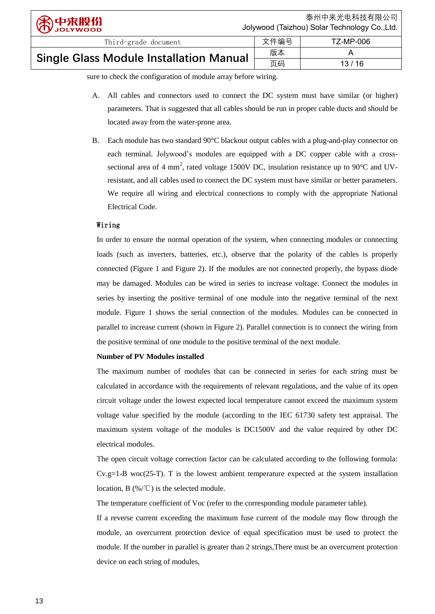sure to check the configuration of module array before wiring.

A. All cables and connectors used to connect the DC system must have similar (or higher) parameters. That is suggested that all cables should be run in proper cable ducts and should be located away from the water-prone area.

页码 13 / 16

B. Each module has two standard  $90 \, \text{°C}$  blackout output cables with a plug-and-play connector on each terminal. Jolywood's modules are equipped with a DC copper cable with a crosssectional area of 4 mm<sup>2</sup>, rated voltage 1500V DC, insulation resistance up to 90 °C and UVresistant, and all cables used to connect the DC system must have similar or better parameters. We require all wiring and electrical connections to comply with the appropriate National Electrical Code.

### Wiring

In order to ensure the normal operation of the system, when connecting modules or connecting loads (such as inverters, batteries, etc.), observe that the polarity of the cables is properly connected (Figure 1 and Figure 2). If the modules are not connected properly, the bypass diode may be damaged. Modules can be wired in series to increase voltage. Connect the modules in series by inserting the positive terminal of one module into the negative terminal of the next module. Figure 1 shows the serial connection of the modules. Modules can be connected in parallel to increase current (shown in Figure 2). Parallel connection is to connect the wiring from the positive terminal of one module to the positive terminal of the next module.

### **Number of PV Modules installed**

The maximum number of modules that can be connected in series for each string must be calculated in accordance with the requirements of relevant regulations, and the value of its open circuit voltage under the lowest expected local temperature cannot exceed the maximum system voltage value specified by the module (according to the IEC 61730 safety test appraisal. The maximum system voltage of the modules is DC1500V and the value required by other DC electrical modules.

The open circuit voltage correction factor can be calculated according to the following formula:  $Cv.g.=1-B$  woc $(25-T)$ . T is the lowest ambient temperature expected at the system installation location, B (%/℃) is the selected module.

The temperature coefficient of Voc (refer to the corresponding module parameter table).

If a reverse current exceeding the maximum fuse current of the module may flow through the module, an overcurrent protection device of equal specification must be used to protect the module. If the number in parallel is greater than 2 strings,There must be an overcurrent protection device on each string of modules,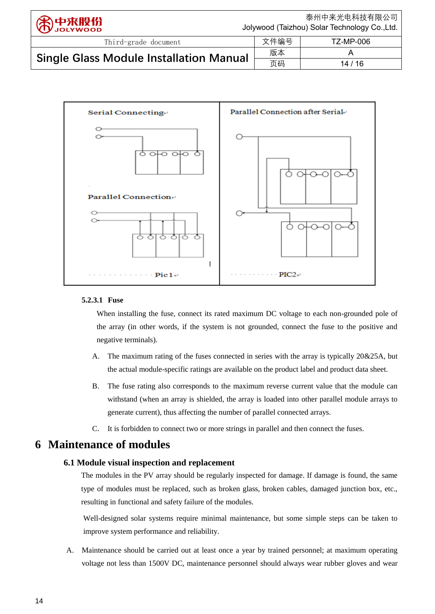| 第中来股份                                          | 泰州中来光电科技有限公司<br>Jolywood (Taizhou) Solar Technology Co., Ltd. |           |  |
|------------------------------------------------|---------------------------------------------------------------|-----------|--|
| Third-grade document                           | 文件编号                                                          | TZ-MP-006 |  |
|                                                | 版本                                                            |           |  |
| <b>Single Glass Module Installation Manual</b> | 页码                                                            | 14/16     |  |



### **5.2.3.1 Fuse**

When installing the fuse, connect its rated maximum DC voltage to each non-grounded pole of the array (in other words, if the system is not grounded, connect the fuse to the positive and negative terminals).

- A. The maximum rating of the fuses connected in series with the array is typically 20&25A, but the actual module-specific ratings are available on the product label and product data sheet.
- B. The fuse rating also corresponds to the maximum reverse current value that the module can withstand (when an array is shielded, the array is loaded into other parallel module arrays to generate current), thus affecting the number of parallel connected arrays.
- C. It is forbidden to connect two or more strings in parallel and then connect the fuses.

# <span id="page-13-1"></span><span id="page-13-0"></span>**6 Maintenance of modules**

### **6.1 Module visual inspection and replacement**

The modules in the PV array should be regularly inspected for damage. If damage is found, the same type of modules must be replaced, such as broken glass, broken cables, damaged junction box, etc., resulting in functional and safety failure of the modules.

Well-designed solar systems require minimal maintenance, but some simple steps can be taken to improve system performance and reliability.

A. Maintenance should be carried out at least once a year by trained personnel; at maximum operating voltage not less than 1500V DC, maintenance personnel should always wear rubber gloves and wear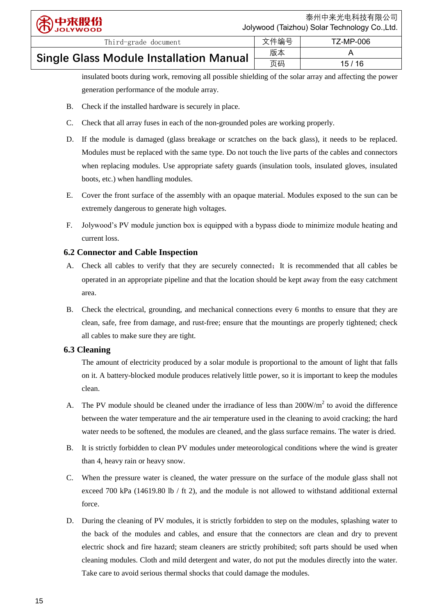| <b>Single Glass Module Installation Manual</b> | 版本 |       |
|------------------------------------------------|----|-------|
|                                                | 页码 | 15/16 |

insulated boots during work, removing all possible shielding of the solar array and affecting the power generation performance of the module array.

- B. Check if the installed hardware is securely in place.
- C. Check that all array fuses in each of the non-grounded poles are working properly.
- D. If the module is damaged (glass breakage or scratches on the back glass), it needs to be replaced. Modules must be replaced with the same type. Do not touch the live parts of the cables and connectors when replacing modules. Use appropriate safety guards (insulation tools, insulated gloves, insulated boots, etc.) when handling modules.
- E. Cover the front surface of the assembly with an opaque material. Modules exposed to the sun can be extremely dangerous to generate high voltages.
- F. Jolywood's PV module junction box is equipped with a bypass diode to minimize module heating and current loss.

### <span id="page-14-0"></span>**6.2 Connector and Cable Inspection**

- A. Check all cables to verify that they are securely connected; It is recommended that all cables be operated in an appropriate pipeline and that the location should be kept away from the easy catchment area.
- B. Check the electrical, grounding, and mechanical connections every 6 months to ensure that they are clean, safe, free from damage, and rust-free; ensure that the mountings are properly tightened; check all cables to make sure they are tight.

### <span id="page-14-1"></span>**6.3 Cleaning**

The amount of electricity produced by a solar module is proportional to the amount of light that falls on it. A battery-blocked module produces relatively little power, so it is important to keep the modules clean.

- A. The PV module should be cleaned under the irradiance of less than  $200W/m<sup>2</sup>$  to avoid the difference between the water temperature and the air temperature used in the cleaning to avoid cracking; the hard water needs to be softened, the modules are cleaned, and the glass surface remains. The water is dried.
- B. It is strictly forbidden to clean PV modules under meteorological conditions where the wind is greater than 4, heavy rain or heavy snow.
- C. When the pressure water is cleaned, the water pressure on the surface of the module glass shall not exceed 700 kPa (14619.80 lb / ft 2), and the module is not allowed to withstand additional external force.
- D. During the cleaning of PV modules, it is strictly forbidden to step on the modules, splashing water to the back of the modules and cables, and ensure that the connectors are clean and dry to prevent electric shock and fire hazard; steam cleaners are strictly prohibited; soft parts should be used when cleaning modules. Cloth and mild detergent and water, do not put the modules directly into the water. Take care to avoid serious thermal shocks that could damage the modules.